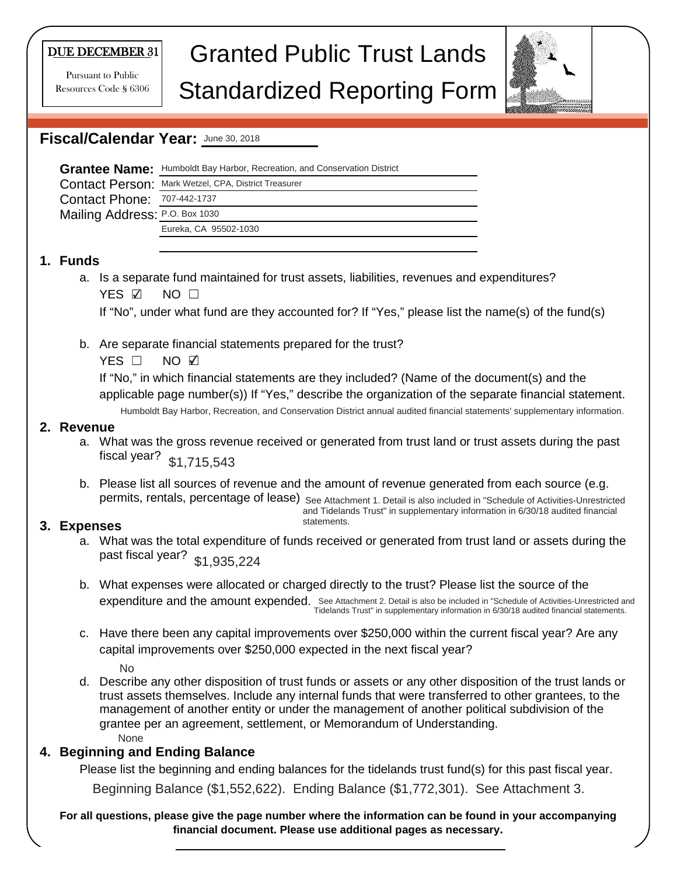#### DUE DECEMBER 31

Pursuant to Public Resources Code § 6306

# Granted Public Trust Lands Standardized Reporting Form



# **Fiscal/Calendar Year:** June 30, 2018

|                                    | Grantee Name: Humboldt Bay Harbor, Recreation, and Conservation District |
|------------------------------------|--------------------------------------------------------------------------|
|                                    | <b>Contact Person: Mark Wetzel, CPA, District Treasurer</b>              |
| <b>Contact Phone: 707-442-1737</b> |                                                                          |
| Mailing Address: P.O. Box 1030     |                                                                          |
|                                    | Eureka, CA 95502-1030                                                    |
|                                    |                                                                          |

#### **1. Funds**

a. Is a separate fund maintained for trust assets, liabilities, revenues and expenditures? YES ☑ NO □

If "No", under what fund are they accounted for? If "Yes," please list the name(s) of the fund(s)

b. Are separate financial statements prepared for the trust?

 $YES$   $\square$ NO ☑

If "No," in which financial statements are they included? (Name of the document(s) and the applicable page number(s)) If "Yes," describe the organization of the separate financial statement.

Humboldt Bay Harbor, Recreation, and Conservation District annual audited financial statements' supplementary information.

#### **2. Revenue**

- a. What was the gross revenue received or generated from trust land or trust assets during the past fiscal year? \$1,715,543
- b. Please list all sources of revenue and the amount of revenue generated from each source (e.g. permits, rentals, percentage of lease) see Attachment 1. Detail is also included in "Schedule of Activities-Unrestricted and Tidelands Trust" in supplementary information in 6/30/18 audited financial

statements.

## **3. Expenses**

- a. What was the total expenditure of funds received or generated from trust land or assets during the past fiscal year? \$1,935,224
- b. What expenses were allocated or charged directly to the trust? Please list the source of the expenditure and the amount expended. See Attachment 2. Detail is also be included in "Schedule of Activities-Unrestricted and Tidelands Trust" in supplementary information in 6/30/18 audited financial statements.
- c. Have there been any capital improvements over \$250,000 within the current fiscal year? Are any capital improvements over \$250,000 expected in the next fiscal year?

No

d. Describe any other disposition of trust funds or assets or any other disposition of the trust lands or trust assets themselves. Include any internal funds that were transferred to other grantees, to the management of another entity or under the management of another political subdivision of the grantee per an agreement, settlement, or Memorandum of Understanding. None

## **4. Beginning and Ending Balance**

Please list the beginning and ending balances for the tidelands trust fund(s) for this past fiscal year.

Beginning Balance (\$1,552,622). Ending Balance (\$1,772,301). See Attachment 3.

**For all questions, please give the page number where the information can be found in your accompanying financial document. Please use additional pages as necessary.**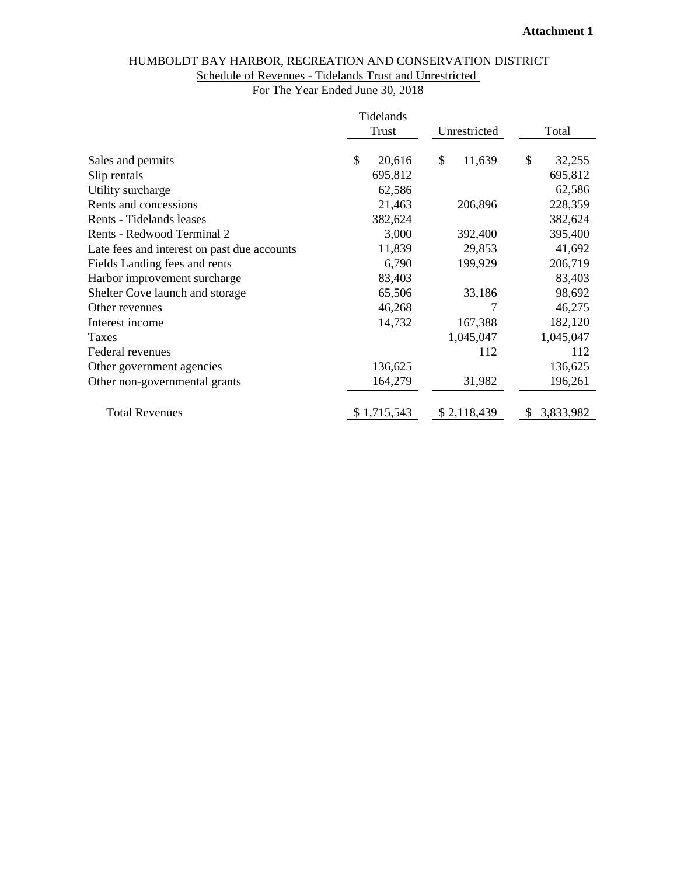# HUMBOLDT BAY HARBOR, RECREATION AND CONSERVATION DISTRICT Schedule of Revenues - Tidelands Trust and Unrestricted

For The Year Ended June 30, 2018

|                                             | Tidelands    |              |                |
|---------------------------------------------|--------------|--------------|----------------|
|                                             | <b>Trust</b> | Unrestricted | Total          |
|                                             |              |              |                |
| Sales and permits                           | \$<br>20,616 | \$<br>11,639 | \$<br>32,255   |
| Slip rentals                                | 695,812      |              | 695,812        |
| Utility surcharge                           | 62,586       |              | 62,586         |
| Rents and concessions                       | 21,463       | 206,896      | 228,359        |
| Rents - Tidelands leases                    | 382,624      |              | 382,624        |
| Rents - Redwood Terminal 2                  | 3,000        | 392,400      | 395,400        |
| Late fees and interest on past due accounts | 11,839       | 29,853       | 41,692         |
| Fields Landing fees and rents               | 6,790        | 199,929      | 206,719        |
| Harbor improvement surcharge                | 83,403       |              | 83,403         |
| Shelter Cove launch and storage             | 65,506       | 33,186       | 98,692         |
| Other revenues                              | 46,268       |              | 46,275         |
| Interest income                             | 14,732       | 167,388      | 182,120        |
| Taxes                                       |              | 1,045,047    | 1,045,047      |
| Federal revenues                            |              | 112          | 112            |
| Other government agencies                   | 136,625      |              | 136,625        |
| Other non-governmental grants               | 164,279      | 31,982       | 196,261        |
|                                             |              |              |                |
| <b>Total Revenues</b>                       | \$1,715,543  | \$2,118,439  | 3,833,982<br>S |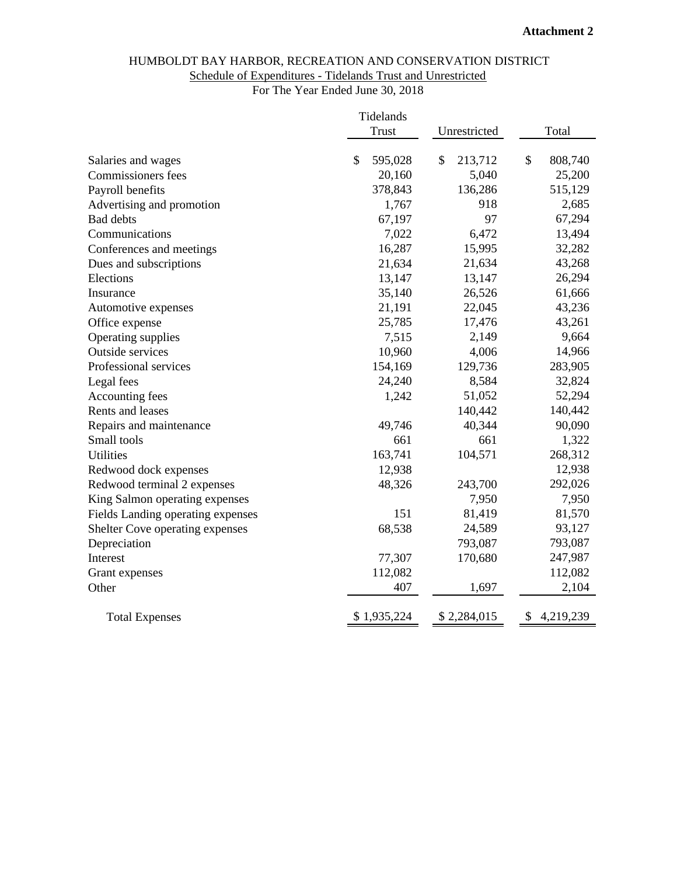## HUMBOLDT BAY HARBOR, RECREATION AND CONSERVATION DISTRICT Schedule of Expenditures - Tidelands Trust and Unrestricted

For The Year Ended June 30, 2018

|                                                    | Tidelands        |                  |                          |
|----------------------------------------------------|------------------|------------------|--------------------------|
|                                                    | <b>Trust</b>     | Unrestricted     | Total                    |
|                                                    | \$               | \$               | $\mathcal{S}$<br>808,740 |
| Salaries and wages                                 | 595,028          | 213,712          |                          |
| Commissioners fees                                 | 20,160           | 5,040<br>136,286 | 25,200                   |
| Payroll benefits                                   | 378,843<br>1,767 | 918              | 515,129<br>2,685         |
| Advertising and promotion<br><b>Bad debts</b>      | 67,197           | 97               | 67,294                   |
| Communications                                     | 7,022            | 6,472            | 13,494                   |
|                                                    | 16,287           | 15,995           | 32,282                   |
| Conferences and meetings<br>Dues and subscriptions | 21,634           | 21,634           | 43,268                   |
| Elections                                          | 13,147           | 13,147           | 26,294                   |
| Insurance                                          | 35,140           | 26,526           | 61,666                   |
| Automotive expenses                                | 21,191           | 22,045           | 43,236                   |
|                                                    | 25,785           | 17,476           | 43,261                   |
| Office expense<br>Operating supplies               | 7,515            | 2,149            | 9,664                    |
| Outside services                                   | 10,960           | 4,006            | 14,966                   |
| Professional services                              | 154,169          | 129,736          | 283,905                  |
| Legal fees                                         | 24,240           | 8,584            | 32,824                   |
| Accounting fees                                    | 1,242            | 51,052           | 52,294                   |
| Rents and leases                                   |                  | 140,442          | 140,442                  |
| Repairs and maintenance                            | 49,746           | 40,344           | 90,090                   |
| Small tools                                        | 661              | 661              | 1,322                    |
| <b>Utilities</b>                                   | 163,741          | 104,571          | 268,312                  |
| Redwood dock expenses                              | 12,938           |                  | 12,938                   |
| Redwood terminal 2 expenses                        | 48,326           | 243,700          | 292,026                  |
| King Salmon operating expenses                     |                  | 7,950            | 7,950                    |
| Fields Landing operating expenses                  | 151              | 81,419           | 81,570                   |
| Shelter Cove operating expenses                    | 68,538           | 24,589           | 93,127                   |
| Depreciation                                       |                  | 793,087          | 793,087                  |
| Interest                                           | 77,307           | 170,680          | 247,987                  |
| Grant expenses                                     | 112,082          |                  | 112,082                  |
| Other                                              | 407              | 1,697            | 2,104                    |
|                                                    |                  |                  |                          |
| <b>Total Expenses</b>                              | \$1,935,224      | \$2,284,015      | \$<br>4,219,239          |